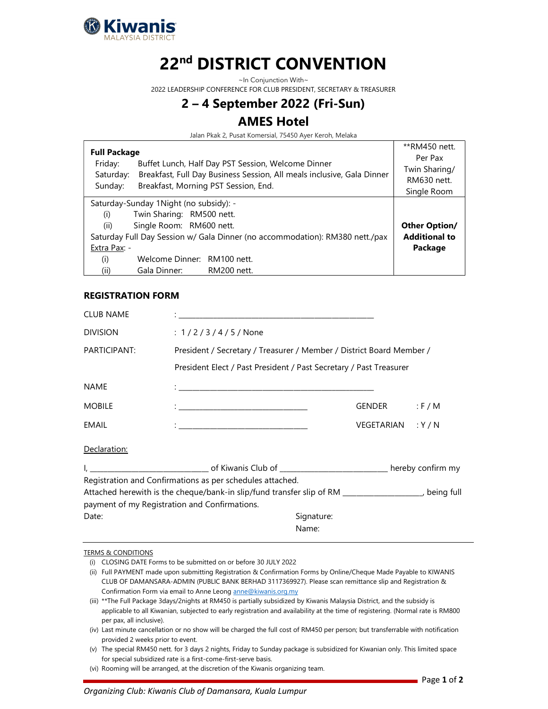

# 22<sup>nd</sup> DISTRICT CONVENTION

~In Conjunction With~

2022 LEADERSHIP CONFERENCE FOR CLUB PRESIDENT, SECRETARY & TREASURER

## 2 – 4 September 2022 (Fri-Sun)

### AMES Hotel

Jalan Pkak 2, Pusat Komersial, 75450 Ayer Keroh, Melaka

| <b>Full Package</b><br>Friday:                                                                                                                                                                                        | **RM450 nett.<br>Per Pax                                               |                              |  |
|-----------------------------------------------------------------------------------------------------------------------------------------------------------------------------------------------------------------------|------------------------------------------------------------------------|------------------------------|--|
| Saturday:                                                                                                                                                                                                             | Breakfast, Full Day Business Session, All meals inclusive, Gala Dinner | Twin Sharing/<br>RM630 nett. |  |
| Sunday:                                                                                                                                                                                                               | Breakfast, Morning PST Session, End.                                   | Single Room                  |  |
| Saturday-Sunday 1Night (no subsidy): -<br>Twin Sharing: RM500 nett.<br>(i)<br>(ii)<br>Single Room: RM600 nett.<br>Saturday Full Day Session w/ Gala Dinner (no accommodation): RM380 nett./pax<br>Extra Pax: -<br>(i) | <b>Other Option/</b><br><b>Additional to</b><br>Package                |                              |  |
| (ii)                                                                                                                                                                                                                  | Gala Dinner:                                                           | RM200 nett.                  |  |

#### REGISTRATION FORM

| <b>CLUB NAME</b> |                                                                                                                                                                                                                                   |                    |           |  |  |  |
|------------------|-----------------------------------------------------------------------------------------------------------------------------------------------------------------------------------------------------------------------------------|--------------------|-----------|--|--|--|
| <b>DIVISION</b>  | : $1/2/3/4/5/$ None                                                                                                                                                                                                               |                    |           |  |  |  |
| PARTICIPANT:     | President / Secretary / Treasurer / Member / District Board Member /                                                                                                                                                              |                    |           |  |  |  |
|                  | President Elect / Past President / Past Secretary / Past Treasurer                                                                                                                                                                |                    |           |  |  |  |
| <b>NAME</b>      |                                                                                                                                                                                                                                   |                    |           |  |  |  |
| <b>MOBILE</b>    | $\mathbf{1}$ , the contribution of the contribution of the contribution of the contribution of the contribution of the contribution of the contribution of the contribution of the contribution of the contribution of the contri | GENDER             | $:$ F / M |  |  |  |
| EMAIL            |                                                                                                                                                                                                                                   | VEGETARIAN : Y / N |           |  |  |  |
| Declaration:     |                                                                                                                                                                                                                                   |                    |           |  |  |  |
|                  |                                                                                                                                                                                                                                   |                    |           |  |  |  |
|                  | Registration and Confirmations as per schedules attached.                                                                                                                                                                         |                    |           |  |  |  |
|                  | Attached herewith is the cheque/bank-in slip/fund transfer slip of RM _______________________ being full                                                                                                                          |                    |           |  |  |  |
|                  | payment of my Registration and Confirmations.                                                                                                                                                                                     |                    |           |  |  |  |

#### TERMS & CONDITIONS

(i) CLOSING DATE Forms to be submitted on or before 30 JULY 2022

Date: Signature: Signature: Signature: Signature: Signature: Signature: Signature: Signature: Signature: Signature: Signature: Signature: Signature: Signature: Signature: Signature: Signature: Signature: Signature: Signatu Name:

(ii) Full PAYMENT made upon submitting Registration & Confirmation Forms by Online/Cheque Made Payable to KIWANIS CLUB OF DAMANSARA-ADMIN (PUBLIC BANK BERHAD 3117369927). Please scan remittance slip and Registration & Confirmation Form via email to Anne Leong anne@kiwanis.org.my

(iii) \*\*The Full Package 3days/2nights at RM450 is partially subsidized by Kiwanis Malaysia District, and the subsidy is applicable to all Kiwanian, subjected to early registration and availability at the time of registering. (Normal rate is RM800 per pax, all inclusive).

(iv) Last minute cancellation or no show will be charged the full cost of RM450 per person; but transferrable with notification provided 2 weeks prior to event.

(v) The special RM450 nett. for 3 days 2 nights, Friday to Sunday package is subsidized for Kiwanian only. This limited space for special subsidized rate is a first-come-first-serve basis.

(vi) Rooming will be arranged, at the discretion of the Kiwanis organizing team.